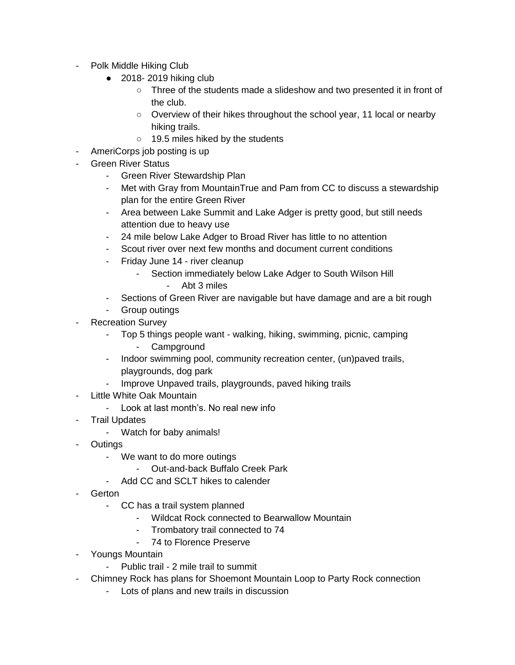- Polk Middle Hiking Club
	- $\bullet$  2018-2019 hiking club
		- Three of the students made a slideshow and two presented it in front of the club.
		- Overview of their hikes throughout the school year, 11 local or nearby hiking trails.
		- 19.5 miles hiked by the students
- AmeriCorps job posting is up
- Green River Status
	- Green River Stewardship Plan
	- Met with Gray from MountainTrue and Pam from CC to discuss a stewardship plan for the entire Green River
	- Area between Lake Summit and Lake Adger is pretty good, but still needs attention due to heavy use
	- 24 mile below Lake Adger to Broad River has little to no attention
	- Scout river over next few months and document current conditions
	- Friday June 14 river cleanup
		- Section immediately below Lake Adger to South Wilson Hill
			- Abt 3 miles
	- Sections of Green River are navigable but have damage and are a bit rough
	- Group outings
- Recreation Survey
	- Top 5 things people want walking, hiking, swimming, picnic, camping - Campground
	- Indoor swimming pool, community recreation center, (un)paved trails, playgrounds, dog park
	- Improve Unpaved trails, playgrounds, paved hiking trails
- Little White Oak Mountain
	- Look at last month's. No real new info
- Trail Updates
	- Watch for baby animals!
- Outings
	- We want to do more outings
		- Out-and-back Buffalo Creek Park
	- Add CC and SCLT hikes to calender
- **Gerton** 
	- CC has a trail system planned
		- Wildcat Rock connected to Bearwallow Mountain
		- Trombatory trail connected to 74
		- 74 to Florence Preserve
- Youngs Mountain
	- Public trail 2 mile trail to summit
- Chimney Rock has plans for Shoemont Mountain Loop to Party Rock connection
	- Lots of plans and new trails in discussion